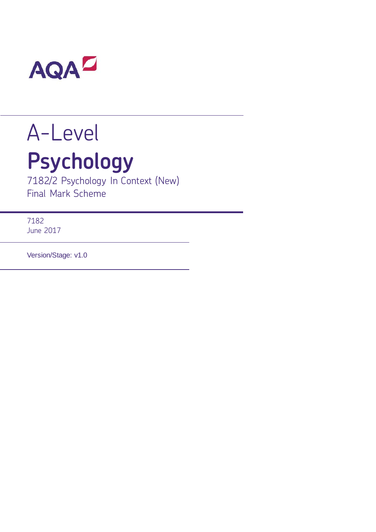

# A-Level **Psychology**

7182/2 Psychology In Context (New) Final Mark Scheme

7182 June 2017

Version/Stage: v1.0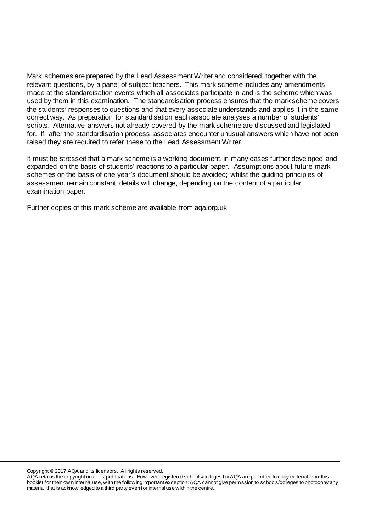Mark schemes are prepared by the Lead Assessment Writer and considered, together with the relevant questions, by a panel of subject teachers. This mark scheme includes any amendments made at the standardisation events which all associates participate in and is the scheme which was used by them in this examination. The standardisation process ensures that the mark scheme covers the students' responses to questions and that every associate understands and applies it in the same correct way. As preparation for standardisation each associate analyses a number of students' scripts. Alternative answers not already covered by the mark scheme are discussed and legislated for. If, after the standardisation process, associates encounter unusual answers which have not been raised they are required to refer these to the Lead Assessment Writer.

It must be stressed that a mark scheme is a working document, in many cases further developed and expanded on the basis of students' reactions to a particular paper. Assumptions about future mark schemes on the basis of one year's document should be avoided; whilst the guiding principles of assessment remain constant, details will change, depending on the content of a particular examination paper.

Further copies of this mark scheme are available from aqa.org.uk

Copyright © 2017 AQA and its licensors. All rights reserved.

AQA retains the copyright on all its publications. How ever, registered schools/colleges for AQA are permitted to copy material from this booklet for their ow n internal use, w ith the following important exception: AQA cannot give permission to schools/colleges to photocopy any material that is acknow ledged to a third party even for internal use w ithin the centre.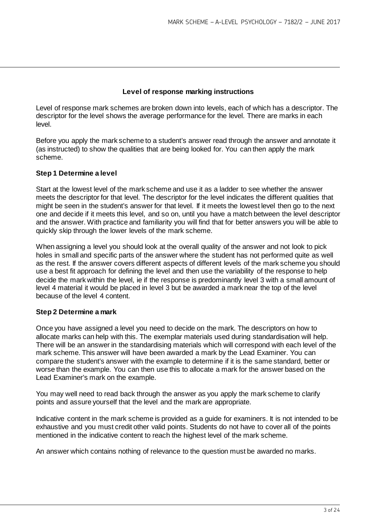### **Level of response marking instructions**

Level of response mark schemes are broken down into levels, each of which has a descriptor. The descriptor for the level shows the average performance for the level. There are marks in each level.

Before you apply the mark scheme to a student's answer read through the answer and annotate it (as instructed) to show the qualities that are being looked for. You can then apply the mark scheme.

### **Step 1 Determine a level**

Start at the lowest level of the mark scheme and use it as a ladder to see whether the answer meets the descriptor for that level. The descriptor for the level indicates the different qualities that might be seen in the student's answer for that level. If it meets the lowest level then go to the next one and decide if it meets this level, and so on, until you have a match between the level descriptor and the answer. With practice and familiarity you will find that for better answers you will be able to quickly skip through the lower levels of the mark scheme.

When assigning a level you should look at the overall quality of the answer and not look to pick holes in small and specific parts of the answer where the student has not performed quite as well as the rest. If the answer covers different aspects of different levels of the mark scheme you should use a best fit approach for defining the level and then use the variability of the response to help decide the mark within the level, ie if the response is predominantly level 3 with a small amount of level 4 material it would be placed in level 3 but be awarded a mark near the top of the level because of the level 4 content.

### **Step 2 Determine a mark**

Once you have assigned a level you need to decide on the mark. The descriptors on how to allocate marks can help with this. The exemplar materials used during standardisation will help. There will be an answer in the standardising materials which will correspond with each level of the mark scheme. This answer will have been awarded a mark by the Lead Examiner. You can compare the student's answer with the example to determine if it is the same standard, better or worse than the example. You can then use this to allocate a mark for the answer based on the Lead Examiner's mark on the example.

You may well need to read back through the answer as you apply the mark scheme to clarify points and assure yourself that the level and the mark are appropriate.

Indicative content in the mark scheme is provided as a guide for examiners. It is not intended to be exhaustive and you must credit other valid points. Students do not have to cover all of the points mentioned in the indicative content to reach the highest level of the mark scheme.

An answer which contains nothing of relevance to the question must be awarded no marks.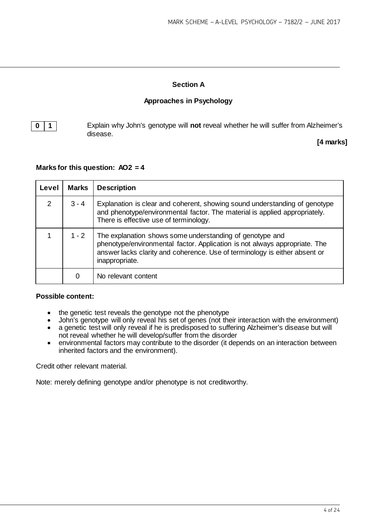# **Section A**

# **Approaches in Psychology**

**0 1 1** Explain why John's genotype will **not** reveal whether he will suffer from Alzheimer's disease.

**[4 marks]**

### **Marks for this question: AO2 = 4**

| Level         | <b>Marks</b> | <b>Description</b>                                                                                                                                                                                                                     |  |
|---------------|--------------|----------------------------------------------------------------------------------------------------------------------------------------------------------------------------------------------------------------------------------------|--|
| $\mathcal{P}$ | $3 - 4$      | Explanation is clear and coherent, showing sound understanding of genotype<br>and phenotype/environmental factor. The material is applied appropriately.<br>There is effective use of terminology.                                     |  |
|               | $1 - 2$      | The explanation shows some understanding of genotype and<br>phenotype/environmental factor. Application is not always appropriate. The<br>answer lacks clarity and coherence. Use of terminology is either absent or<br>inappropriate. |  |
|               | 0            | No relevant content                                                                                                                                                                                                                    |  |

### **Possible content:**

- the genetic test reveals the genotype not the phenotype<br>• John's genotype will only reveal his set of genes (not the
- John's genotype will only reveal his set of genes (not their interaction with the environment)<br>• a genetic test will only reveal if he is predisposed to suffering Alzheimer's disease but will
- a genetic test will only reveal if he is predisposed to suffering Alzheimer's disease but will not reveal whether he will develop/suffer from the disorder
- environmental factors may contribute to the disorder (it depends on an interaction between inherited factors and the environment).

Credit other relevant material.

Note: merely defining genotype and/or phenotype is not creditworthy.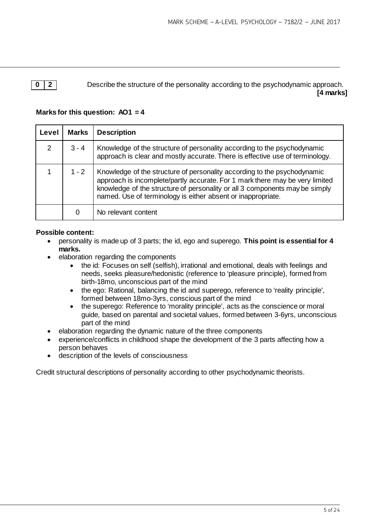**0 2** Describe the structure of the personality according to the psychodynamic approach. **[4 marks]**

# **Marks for this question: AO1 = 4**

| Level         | <b>Marks</b> | <b>Description</b>                                                                                                                                                                                                                                                                                      |  |
|---------------|--------------|---------------------------------------------------------------------------------------------------------------------------------------------------------------------------------------------------------------------------------------------------------------------------------------------------------|--|
| $\mathcal{P}$ | $3 - 4$      | Knowledge of the structure of personality according to the psychodynamic<br>approach is clear and mostly accurate. There is effective use of terminology.                                                                                                                                               |  |
|               | $1 - 2$      | Knowledge of the structure of personality according to the psychodynamic<br>approach is incomplete/partly accurate. For 1 mark there may be very limited<br>knowledge of the structure of personality or all 3 components may be simply<br>named. Use of terminology is either absent or inappropriate. |  |
|               | 0            | No relevant content                                                                                                                                                                                                                                                                                     |  |

# **Possible content:**

- personality is made up of 3 parts; the id, ego and superego. **This point is essential for 4 marks.**
- elaboration regarding the components
	- the id: Focuses on self (selfish), irrational and emotional, deals with feelings and needs, seeks pleasure/hedonistic (reference to 'pleasure principle), formed from birth-18mo, unconscious part of the mind
	- the ego: Rational, balancing the id and superego, reference to 'reality principle', formed between 18mo-3yrs, conscious part of the mind
	- the superego: Reference to 'morality principle', acts as the conscience or moral guide, based on parental and societal values, formed between 3-6yrs, unconscious part of the mind
- elaboration regarding the dynamic nature of the three components
- experience/conflicts in childhood shape the development of the 3 parts affecting how a person behaves
- description of the levels of consciousness

Credit structural descriptions of personality according to other psychodynamic theorists.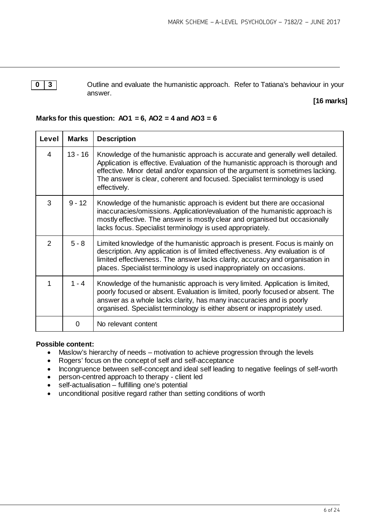**0** | **3** | Cutline and evaluate the humanistic approach. Refer to Tatiana's behaviour in your answer.

# **[16 marks]**

# **Marks for this question: AO1 = 6, AO2 = 4 and AO3 = 6**

| Level          | <b>Marks</b> | <b>Description</b>                                                                                                                                                                                                                                                                                                                              |  |  |  |
|----------------|--------------|-------------------------------------------------------------------------------------------------------------------------------------------------------------------------------------------------------------------------------------------------------------------------------------------------------------------------------------------------|--|--|--|
| 4              | $13 - 16$    | Knowledge of the humanistic approach is accurate and generally well detailed.<br>Application is effective. Evaluation of the humanistic approach is thorough and<br>effective. Minor detail and/or expansion of the argument is sometimes lacking.<br>The answer is clear, coherent and focused. Specialist terminology is used<br>effectively. |  |  |  |
| 3              | $9 - 12$     | Knowledge of the humanistic approach is evident but there are occasional<br>inaccuracies/omissions. Application/evaluation of the humanistic approach is<br>mostly effective. The answer is mostly clear and organised but occasionally<br>lacks focus. Specialist terminology is used appropriately.                                           |  |  |  |
| $\overline{2}$ | $5 - 8$      | Limited knowledge of the humanistic approach is present. Focus is mainly on<br>description. Any application is of limited effectiveness. Any evaluation is of<br>limited effectiveness. The answer lacks clarity, accuracy and organisation in<br>places. Specialist terminology is used inappropriately on occasions.                          |  |  |  |
| 1              | $1 - 4$      | Knowledge of the humanistic approach is very limited. Application is limited,<br>poorly focused or absent. Evaluation is limited, poorly focused or absent. The<br>answer as a whole lacks clarity, has many inaccuracies and is poorly<br>organised. Specialist terminology is either absent or inappropriately used.                          |  |  |  |
|                | 0            | No relevant content                                                                                                                                                                                                                                                                                                                             |  |  |  |

### **Possible content:**

- Maslow's hierarchy of needs motivation to achieve progression through the levels
- Rogers' focus on the concept of self and self-acceptance
- Incongruence between self-concept and ideal self leading to negative feelings of self-worth
- person-centred approach to therapy client led
- self-actualisation fulfilling one's potential
- unconditional positive regard rather than setting conditions of worth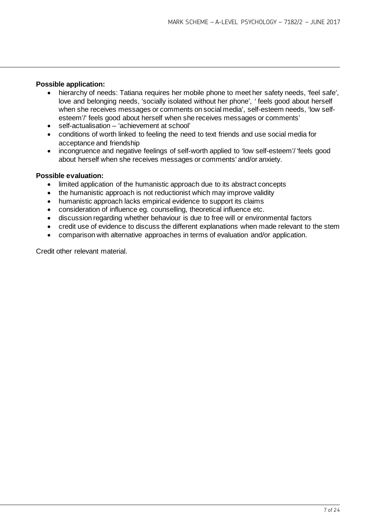### **Possible application:**

- hierarchy of needs: Tatiana requires her mobile phone to meet her safety needs, 'feel safe', love and belonging needs, 'socially isolated without her phone', ' feels good about herself when she receives messages or comments on social media', self-esteem needs, 'low selfesteem'/' feels good about herself when she receives messages or comments'
- self-actualisation 'achievement at school'
- conditions of worth linked to feeling the need to text friends and use social media for acceptance and friendship
- incongruence and negative feelings of self-worth applied to 'low self-esteem'/ 'feels good about herself when she receives messages or comments' and/or anxiety.

### **Possible evaluation:**

- limited application of the humanistic approach due to its abstract concepts
- the humanistic approach is not reductionist which may improve validity
- humanistic approach lacks empirical evidence to support its claims
- consideration of influence eg. counselling, theoretical influence etc.
- discussion regarding whether behaviour is due to free will or environmental factors
- credit use of evidence to discuss the different explanations when made relevant to the stem
- comparison with alternative approaches in terms of evaluation and/or application.

Credit other relevant material.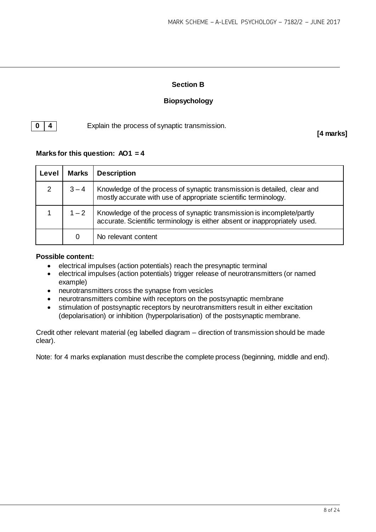# **Section B**

# **Biopsychology**

**0 4 Explain the process of synaptic transmission.** 

**[4 marks]**

# **Marks for this question: AO1 = 4**

| Level | <b>Marks</b> | <b>Description</b>                                                                                                                                   |  |
|-------|--------------|------------------------------------------------------------------------------------------------------------------------------------------------------|--|
| 2     | $3 - 4$      | Knowledge of the process of synaptic transmission is detailed, clear and<br>mostly accurate with use of appropriate scientific terminology.          |  |
|       | $1 - 2$      | Knowledge of the process of synaptic transmission is incomplete/partly<br>accurate. Scientific terminology is either absent or inappropriately used. |  |
|       | 0            | No relevant content                                                                                                                                  |  |

### **Possible content:**

- electrical impulses (action potentials) reach the presynaptic terminal<br>• electrical impulses (action potentials) trigger release of neurotransmi
- electrical impulses (action potentials) trigger release of neurotransmitters (or named example)
- neurotransmitters cross the synapse from vesicles
- neurotransmitters combine with receptors on the postsynaptic membrane
- stimulation of postsynaptic receptors by neurotransmitters result in either excitation (depolarisation) or inhibition (hyperpolarisation) of the postsynaptic membrane.

Credit other relevant material (eg labelled diagram – direction of transmission should be made clear).

Note: for 4 marks explanation must describe the complete process (beginning, middle and end).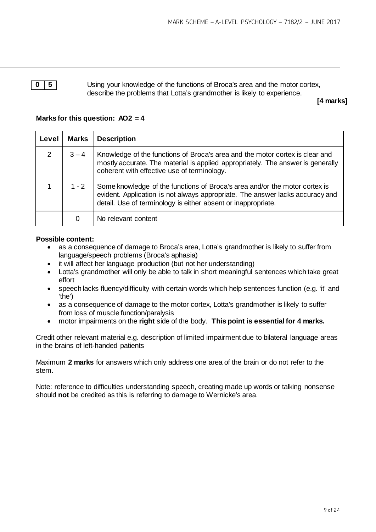**0 5** Using your knowledge of the functions of Broca's area and the motor cortex, describe the problems that Lotta's grandmother is likely to experience.

**[4 marks]**

# **Marks for this question: AO2 = 4**

| Level | <b>Marks</b> | <b>Description</b>                                                                                                                                                                                                           |  |
|-------|--------------|------------------------------------------------------------------------------------------------------------------------------------------------------------------------------------------------------------------------------|--|
| 2     | $3 - 4$      | Knowledge of the functions of Broca's area and the motor cortex is clear and<br>mostly accurate. The material is applied appropriately. The answer is generally<br>coherent with effective use of terminology.               |  |
|       | $1 - 2$      | Some knowledge of the functions of Broca's area and/or the motor cortex is<br>evident. Application is not always appropriate. The answer lacks accuracy and<br>detail. Use of terminology is either absent or inappropriate. |  |
|       | 0            | No relevant content                                                                                                                                                                                                          |  |

### **Possible content:**

- as a consequence of damage to Broca's area, Lotta's grandmother is likely to suffer from language/speech problems (Broca's aphasia)
- it will affect her language production (but not her understanding)
- Lotta's grandmother will only be able to talk in short meaningful sentences which take great effort
- speech lacks fluency/difficulty with certain words which help sentences function (e.g. 'it' and 'the')
- as a consequence of damage to the motor cortex, Lotta's grandmother is likely to suffer from loss of muscle function/paralysis
- motor impairments on the **right** side of the body. **This point is essential for 4 marks.**

Credit other relevant material e.g. description of limited impairment due to bilateral language areas in the brains of left-handed patients

Maximum **2 marks** for answers which only address one area of the brain or do not refer to the stem.

Note: reference to difficulties understanding speech, creating made up words or talking nonsense should **not** be credited as this is referring to damage to Wernicke's area.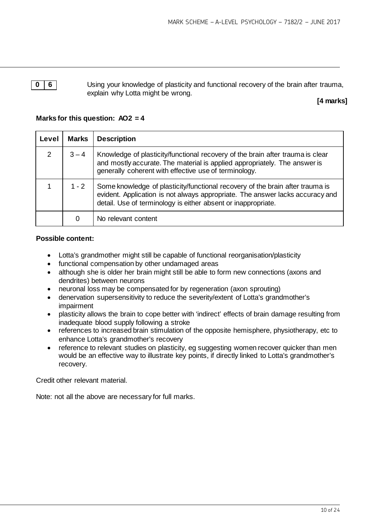**0 6 6** Using your knowledge of plasticity and functional recovery of the brain after trauma, explain why Lotta might be wrong.

# **[4 marks]**

# **Marks for this question: AO2 = 4**

| Level | <b>Marks</b> | <b>Description</b>                                                                                                                                                                                                              |  |
|-------|--------------|---------------------------------------------------------------------------------------------------------------------------------------------------------------------------------------------------------------------------------|--|
| 2     | $3 - 4$      | Knowledge of plasticity/functional recovery of the brain after trauma is clear<br>and mostly accurate. The material is applied appropriately. The answer is<br>generally coherent with effective use of terminology.            |  |
|       | $1 - 2$      | Some knowledge of plasticity/functional recovery of the brain after trauma is<br>evident. Application is not always appropriate. The answer lacks accuracy and<br>detail. Use of terminology is either absent or inappropriate. |  |
|       | 0            | No relevant content                                                                                                                                                                                                             |  |

### **Possible content:**

- Lotta's grandmother might still be capable of functional reorganisation/plasticity
- functional compensation by other undamaged areas
- although she is older her brain might still be able to form new connections (axons and dendrites) between neurons
- neuronal loss may be compensated for by regeneration (axon sprouting)
- denervation supersensitivity to reduce the severity/extent of Lotta's grandmother's impairment
- plasticity allows the brain to cope better with 'indirect' effects of brain damage resulting from inadequate blood supply following a stroke
- references to increased brain stimulation of the opposite hemisphere, physiotherapy, etc to enhance Lotta's grandmother's recovery
- reference to relevant studies on plasticity, eg suggesting women recover quicker than men would be an effective way to illustrate key points, if directly linked to Lotta's grandmother's recovery.

Credit other relevant material.

Note: not all the above are necessary for full marks.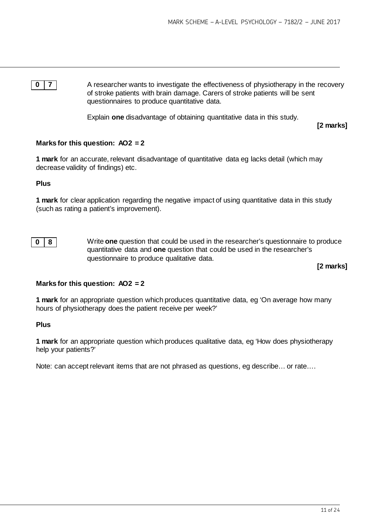**0 7** A researcher wants to investigate the effectiveness of physiotherapy in the recovery of stroke patients with brain damage. Carers of stroke patients will be sent questionnaires to produce quantitative data.

Explain **one** disadvantage of obtaining quantitative data in this study.

**[2 marks]**

### **Marks for this question: AO2 = 2**

**1 mark** for an accurate, relevant disadvantage of quantitative data eg lacks detail (which may decrease validity of findings) etc.

### **Plus**

**1 mark** for clear application regarding the negative impact of using quantitative data in this study (such as rating a patient's improvement).

**0 8** Write **one** question that could be used in the researcher's questionnaire to produce quantitative data and **one** question that could be used in the researcher's questionnaire to produce qualitative data.

**[2 marks]**

### **Marks for this question: AO2 = 2**

**1 mark** for an appropriate question which produces quantitative data, eg 'On average how many hours of physiotherapy does the patient receive per week?'

### **Plus**

**1 mark** for an appropriate question which produces qualitative data, eg 'How does physiotherapy help your patients?'

Note: can accept relevant items that are not phrased as questions, eg describe… or rate….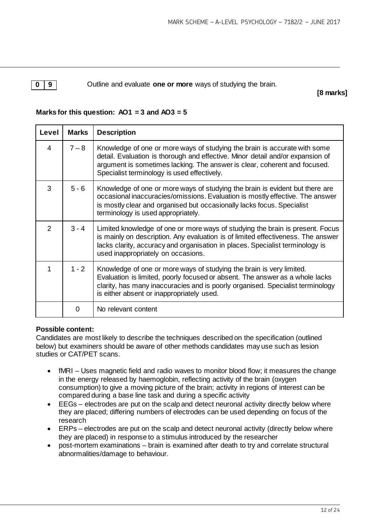**0 9 1** Outline and evaluate **one or more** ways of studying the brain.

**[8 marks]**

# **Marks for this question: AO1 = 3 and AO3 = 5**

| Level | <b>Marks</b> | <b>Description</b>                                                                                                                                                                                                                                                                       |  |
|-------|--------------|------------------------------------------------------------------------------------------------------------------------------------------------------------------------------------------------------------------------------------------------------------------------------------------|--|
| 4     | $7 - 8$      | Knowledge of one or more ways of studying the brain is accurate with some<br>detail. Evaluation is thorough and effective. Minor detail and/or expansion of<br>argument is sometimes lacking. The answer is clear, coherent and focused.<br>Specialist terminology is used effectively.  |  |
| 3     | $5 - 6$      | Knowledge of one or more ways of studying the brain is evident but there are<br>occasional inaccuracies/omissions. Evaluation is mostly effective. The answer<br>is mostly clear and organised but occasionally lacks focus. Specialist<br>terminology is used appropriately.            |  |
| 2     | $3 - 4$      | Limited knowledge of one or more ways of studying the brain is present. Focus<br>is mainly on description. Any evaluation is of limited effectiveness. The answer<br>lacks clarity, accuracy and organisation in places. Specialist terminology is<br>used inappropriately on occasions. |  |
| 1     | $1 - 2$      | Knowledge of one or more ways of studying the brain is very limited.<br>Evaluation is limited, poorly focused or absent. The answer as a whole lacks<br>clarity, has many inaccuracies and is poorly organised. Specialist terminology<br>is either absent or inappropriately used.      |  |
|       | $\Omega$     | No relevant content                                                                                                                                                                                                                                                                      |  |

# **Possible content:**

Candidates are most likely to describe the techniques described on the specification (outlined below) but examiners should be aware of other methods candidates may use such as lesion studies or CAT/PET scans.

- fMRI Uses magnetic field and radio waves to monitor blood flow; it measures the change in the energy released by haemoglobin, reflecting activity of the brain (oxygen consumption) to give a moving picture of the brain; activity in regions of interest can be compared during a base line task and during a specific activity
- EEGs electrodes are put on the scalp and detect neuronal activity directly below where they are placed; differing numbers of electrodes can be used depending on focus of the research
- ERPs electrodes are put on the scalp and detect neuronal activity (directly below where they are placed) in response to a stimulus introduced by the researcher
- post-mortem examinations brain is examined after death to try and correlate structural abnormalities/damage to behaviour.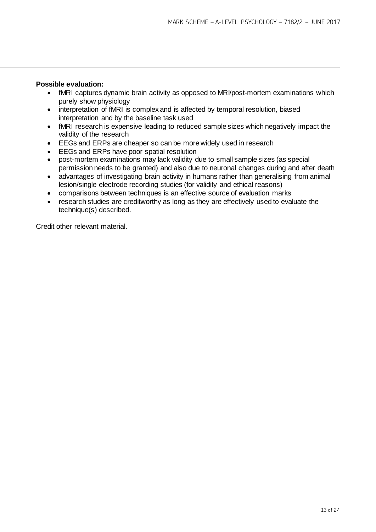### **Possible evaluation:**

- fMRI captures dynamic brain activity as opposed to MRI/post-mortem examinations which purely show physiology
- interpretation of fMRI is complex and is affected by temporal resolution, biased interpretation and by the baseline task used
- fMRI research is expensive leading to reduced sample sizes which negatively impact the validity of the research
- EEGs and ERPs are cheaper so can be more widely used in research
- EEGs and ERPs have poor spatial resolution
- post-mortem examinations may lack validity due to small sample sizes (as special permission needs to be granted) and also due to neuronal changes during and after death
- advantages of investigating brain activity in humans rather than generalising from animal lesion/single electrode recording studies (for validity and ethical reasons)
- comparisons between techniques is an effective source of evaluation marks
- research studies are creditworthy as long as they are effectively used to evaluate the technique(s) described.

Credit other relevant material.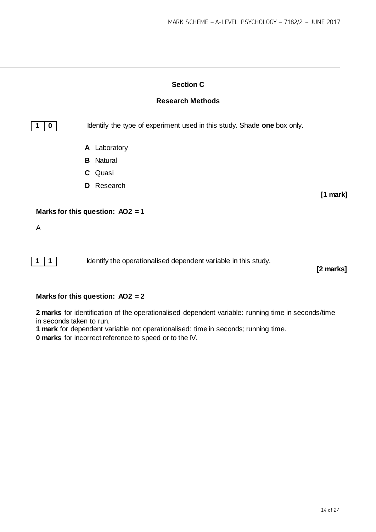# **Section C**

# **Research Methods**

**1 0 IDENTIFY IDENTIFY** the type of experiment used in this study. Shade **one** box only.

- **A** Laboratory
- **B** Natural
- **C** Quasi
- **D** Research

### **Marks for this question: AO2 = 1**

A

**1** 1 **1** Identify the operationalised dependent variable in this study.

**[2 marks]**

**[1 mark]**

### **Marks for this question: AO2 = 2**

**2 marks** for identification of the operationalised dependent variable: running time in seconds/time in seconds taken to run.

**1 mark** for dependent variable not operationalised: time in seconds; running time.

**0 marks** for incorrect reference to speed or to the IV.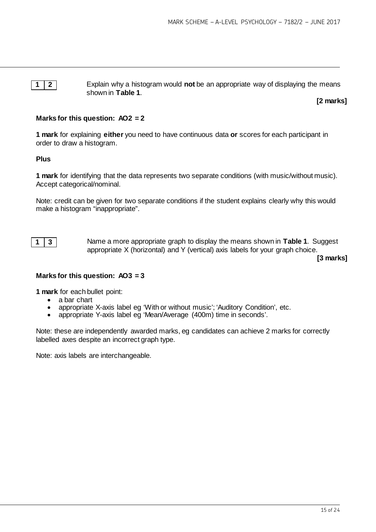**1 2** Explain why a histogram would **not** be an appropriate way of displaying the means shown in **Table 1**.

**[2 marks]**

# **Marks for this question: AO2 = 2**

**1 mark** for explaining **either** you need to have continuous data **or** scores for each participant in order to draw a histogram.

# **Plus**

**1 mark** for identifying that the data represents two separate conditions (with music/without music). Accept categorical/nominal.

Note: credit can be given for two separate conditions if the student explains clearly why this would make a histogram "inappropriate".



**1 3** Name a more appropriate graph to display the means shown in **Table 1**. Suggest appropriate X (horizontal) and Y (vertical) axis labels for your graph choice.

**[3 marks]**

# **Marks for this question: AO3 = 3**

**1 mark** for each bullet point:

- a bar chart
- appropriate X-axis label eg 'With or without music'; 'Auditory Condition', etc.<br>• appropriate Y-axis label eg 'Mean/Average (400m) time in seconds'.
- appropriate Y-axis label eg 'Mean/Average (400m) time in seconds'.

Note: these are independently awarded marks, eg candidates can achieve 2 marks for correctly labelled axes despite an incorrect graph type.

Note: axis labels are interchangeable.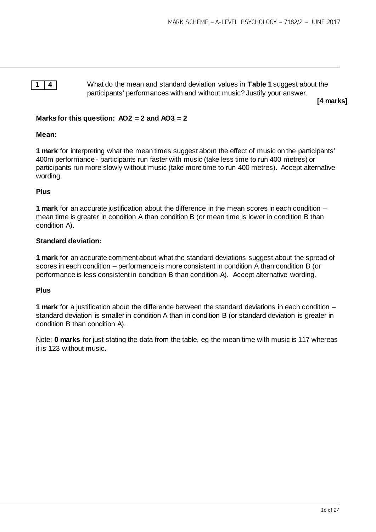**1 4** What do the mean and standard deviation values in **Table 1** suggest about the participants' performances with and without music? Justify your answer.

**[4 marks]**

# **Marks for this question: AO2 = 2 and AO3 = 2**

### **Mean:**

**1 mark** for interpreting what the mean times suggest about the effect of music on the participants' 400m performance - participants run faster with music (take less time to run 400 metres) or participants run more slowly without music (take more time to run 400 metres). Accept alternative wording.

### **Plus**

**1 mark** for an accurate justification about the difference in the mean scores in each condition – mean time is greater in condition A than condition B (or mean time is lower in condition B than condition A).

### **Standard deviation:**

**1 mark** for an accurate comment about what the standard deviations suggest about the spread of scores in each condition – performance is more consistent in condition A than condition B (or performance is less consistent in condition B than condition A). Accept alternative wording.

### **Plus**

**1 mark** for a justification about the difference between the standard deviations in each condition – standard deviation is smaller in condition A than in condition B (or standard deviation is greater in condition B than condition A).

Note: **0 marks** for just stating the data from the table, eg the mean time with music is 117 whereas it is 123 without music.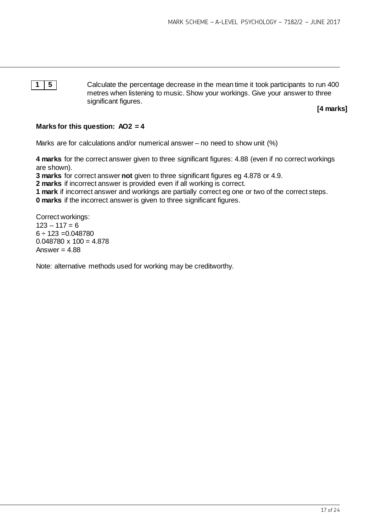**1 5** Calculate the percentage decrease in the mean time it took participants to run 400 metres when listening to music. Show your workings. Give your answer to three significant figures.

**[4 marks]**

# **Marks for this question: AO2 = 4**

Marks are for calculations and/or numerical answer – no need to show unit (%)

**4 marks** for the correct answer given to three significant figures: 4.88 (even if no correct workings are shown).

**3 marks** for correct answer **not** given to three significant figures eg 4.878 or 4.9.

**2 marks** if incorrect answer is provided even if all working is correct.

**1 mark** if incorrect answer and workings are partially correct eg one or two of the correct steps.

**0 marks** if the incorrect answer is given to three significant figures.

Correct workings:  $123 - 117 = 6$  $6 \div 123 = 0.048780$  $0.048780 \times 100 = 4.878$ Answer  $= 4.88$ 

Note: alternative methods used for working may be creditworthy.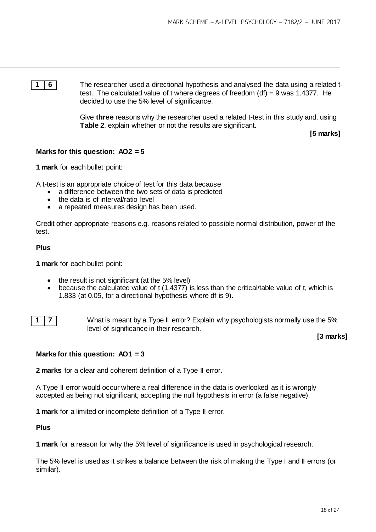**1 6** The researcher used a directional hypothesis and analysed the data using a related ttest. The calculated value of t where degrees of freedom (df) = 9 was 1.4377. He decided to use the 5% level of significance.

> Give **three** reasons why the researcher used a related t-test in this study and, using **Table 2**, explain whether or not the results are significant.

> > **[5 marks]**

# **Marks for this question: AO2 = 5**

**1 mark** for each bullet point:

A t-test is an appropriate choice of test for this data because

- a difference between the two sets of data is predicted
- the data is of interval/ratio level
- a repeated measures design has been used.

Credit other appropriate reasons e.g. reasons related to possible normal distribution, power of the test.

#### **Plus**

**1 mark** for each bullet point:

- the result is not significant (at the 5% level)
- because the calculated value of t (1.4377) is less than the critical/table value of t, which is 1.833 (at 0.05, for a directional hypothesis where df is 9).



**1 7** What is meant by a Type II error? Explain why psychologists normally use the 5% level of significance in their research.

### **[3 marks]**

### **Marks for this question: AO1 = 3**

**2 marks** for a clear and coherent definition of a Type II error.

A Type II error would occur where a real difference in the data is overlooked as it is wrongly accepted as being not significant, accepting the null hypothesis in error (a false negative).

**1 mark** for a limited or incomplete definition of a Type II error.

**Plus**

**1 mark** for a reason for why the 5% level of significance is used in psychological research.

The 5% level is used as it strikes a balance between the risk of making the Type I and II errors (or similar).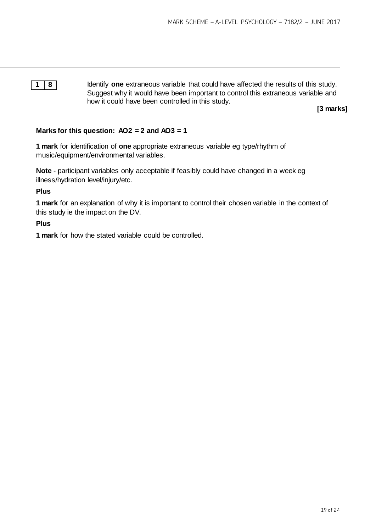**1 8** Identify **one** extraneous variable that could have affected the results of this study. Suggest why it would have been important to control this extraneous variable and how it could have been controlled in this study.

**[3 marks]**

### **Marks for this question: AO2 = 2 and AO3 = 1**

**1 mark** for identification of **one** appropriate extraneous variable eg type/rhythm of music/equipment/environmental variables.

**Note** - participant variables only acceptable if feasibly could have changed in a week eg illness/hydration level/injury/etc.

# **Plus**

**1 mark** for an explanation of why it is important to control their chosen variable in the context of this study ie the impact on the DV.

### **Plus**

**1 mark** for how the stated variable could be controlled.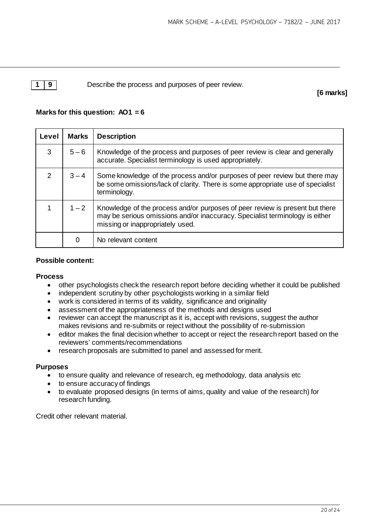**1 9** Describe the process and purposes of peer review.

**[6 marks]**

# **Marks for this question: AO1 = 6**

| Level         | <b>Marks</b> | <b>Description</b>                                                                                                                                                                               |  |  |  |
|---------------|--------------|--------------------------------------------------------------------------------------------------------------------------------------------------------------------------------------------------|--|--|--|
| 3             | $5 - 6$      | Knowledge of the process and purposes of peer review is clear and generally<br>accurate. Specialist terminology is used appropriately.                                                           |  |  |  |
| $\mathcal{P}$ | $3 - 4$      | Some knowledge of the process and/or purposes of peer review but there may<br>be some omissions/lack of clarity. There is some appropriate use of specialist<br>terminology.                     |  |  |  |
|               | $1 - 2$      | Knowledge of the process and/or purposes of peer review is present but there<br>may be serious omissions and/or inaccuracy. Specialist terminology is either<br>missing or inappropriately used. |  |  |  |
|               | 0            | No relevant content                                                                                                                                                                              |  |  |  |

# **Possible content:**

### **Process**

- other psychologists check the research report before deciding whether it could be published<br>• independent scrutiny by other psychologists working in a similar field
- independent scrutiny by other psychologists working in a similar field
- work is considered in terms of its validity, significance and originality
- assessment of the appropriateness of the methods and designs used
- reviewer can accept the manuscript as it is, accept with revisions, suggest the author makes revisions and re-submits or reject without the possibility of re-submission
- editor makes the final decision whether to accept or reject the research report based on the reviewers' comments/recommendations
- research proposals are submitted to panel and assessed for merit.

### **Purposes**

- to ensure quality and relevance of research, eg methodology, data analysis etc
- to ensure accuracy of findings
- to evaluate proposed designs (in terms of aims, quality and value of the research) for research funding.

Credit other relevant material.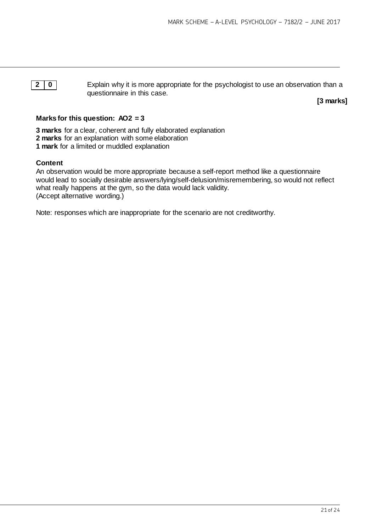**2 0** Explain why it is more appropriate for the psychologist to use an observation than a questionnaire in this case.

**[3 marks]**

# **Marks for this question: AO2 = 3**

**3 marks** for a clear, coherent and fully elaborated explanation **2 marks** for an explanation with some elaboration **1 mark** for a limited or muddled explanation

# **Content**

An observation would be more appropriate because a self-report method like a questionnaire would lead to socially desirable answers/lying/self-delusion/misremembering, so would not reflect what really happens at the gym, so the data would lack validity. (Accept alternative wording.)

Note: responses which are inappropriate for the scenario are not creditworthy.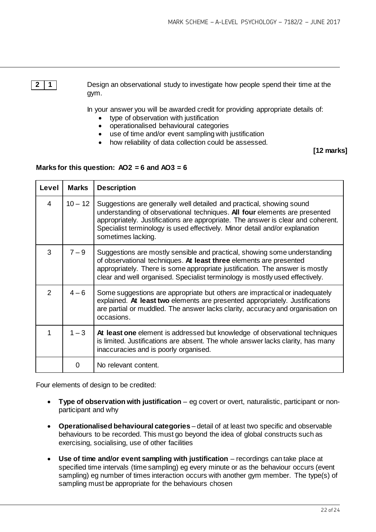**2 1** Design an observational study to investigate how people spend their time at the gym.

In your answer you will be awarded credit for providing appropriate details of:

- type of observation with justification
- operationalised behavioural categories
- use of time and/or event sampling with justification
- how reliability of data collection could be assessed.

**[12 marks]**

# **Marks for this question: AO2 = 6 and AO3 = 6**

| Level | <b>Marks</b> | <b>Description</b>                                                                                                                                                                                                                                                                                                                          |  |
|-------|--------------|---------------------------------------------------------------------------------------------------------------------------------------------------------------------------------------------------------------------------------------------------------------------------------------------------------------------------------------------|--|
| 4     | $10 - 12$    | Suggestions are generally well detailed and practical, showing sound<br>understanding of observational techniques. All four elements are presented<br>appropriately. Justifications are appropriate. The answer is clear and coherent.<br>Specialist terminology is used effectively. Minor detail and/or explanation<br>sometimes lacking. |  |
| 3     | $7 - 9$      | Suggestions are mostly sensible and practical, showing some understanding<br>of observational techniques. At least three elements are presented<br>appropriately. There is some appropriate justification. The answer is mostly<br>clear and well organised. Specialist terminology is mostly used effectively.                             |  |
| 2     | $4 - 6$      | Some suggestions are appropriate but others are impractical or inadequately<br>explained. At least two elements are presented appropriately. Justifications<br>are partial or muddled. The answer lacks clarity, accuracy and organisation on<br>occasions.                                                                                 |  |
| 1     | $1 - 3$      | At least one element is addressed but knowledge of observational techniques<br>is limited. Justifications are absent. The whole answer lacks clarity, has many<br>inaccuracies and is poorly organised.                                                                                                                                     |  |
|       | 0            | No relevant content.                                                                                                                                                                                                                                                                                                                        |  |

Four elements of design to be credited:

- **Type of observation with justification** eg covert or overt, naturalistic, participant or nonparticipant and why
- **Operationalised behavioural categories** detail of at least two specific and observable behaviours to be recorded. This must go beyond the idea of global constructs such as exercising, socialising, use of other facilities
- **Use of time and/or event sampling with justification** recordings can take place at specified time intervals (time sampling) eg every minute or as the behaviour occurs (event sampling) eg number of times interaction occurs with another gym member. The type(s) of sampling must be appropriate for the behaviours chosen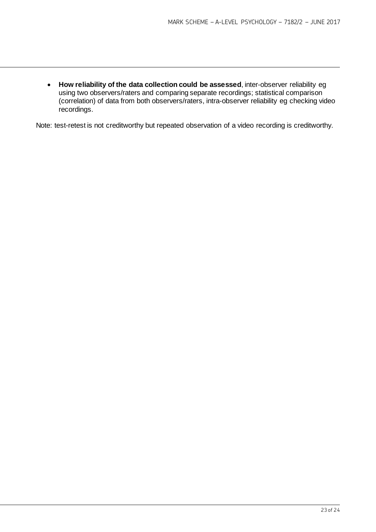• **How reliability of the data collection could be assessed**, inter-observer reliability eg using two observers/raters and comparing separate recordings; statistical comparison (correlation) of data from both observers/raters, intra-observer reliability eg checking video recordings.

Note: test-retest is not creditworthy but repeated observation of a video recording is creditworthy.